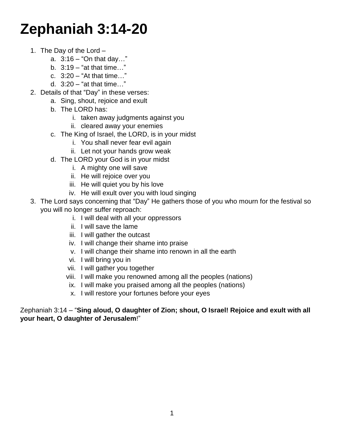# **Zephaniah 3:14-20**

- 1. The Day of the Lord
	- a.  $3:16 'On$  that day..."
	- b. 3:19 "at that time…"
	- c.  $3:20 ^{\circ}$  At that time. "
	- d. 3:20 "at that time…"
- 2. Details of that "Day" in these verses:
	- a. Sing, shout, rejoice and exult
	- b. The LORD has:
		- i. taken away judgments against you
		- ii. cleared away your enemies
	- c. The King of Israel, the LORD, is in your midst
		- i. You shall never fear evil again
		- ii. Let not your hands grow weak
	- d. The LORD your God is in your midst
		- i. A mighty one will save
		- ii. He will rejoice over you
		- iii. He will quiet you by his love
		- iv. He will exult over you with loud singing
- 3. The Lord says concerning that "Day" He gathers those of you who mourn for the festival so you will no longer suffer reproach:
	- i. I will deal with all your oppressors
	- ii. I will save the lame
	- iii. I will gather the outcast
	- iv. I will change their shame into praise
	- v. I will change their shame into renown in all the earth
	- vi. I will bring you in
	- vii. I will gather you together
	- viii. I will make you renowned among all the peoples (nations)
	- ix. I will make you praised among all the peoples (nations)
	- x. I will restore your fortunes before your eyes

Zephaniah 3:14 – "**Sing aloud, O daughter of Zion; shout, O Israel! Rejoice and exult with all your heart, O daughter of Jerusalem**!"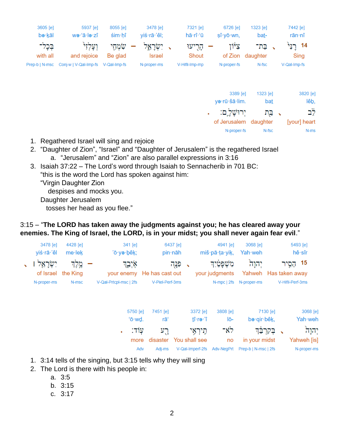| 7442 [e]<br>rān·nî              | 1323 [e]<br>ba <u>t</u> - | 6726 [e]<br>$\sin y \bar{o} \cdot w$ n, | 7321 [e]<br>hā·rî·'ū | 3478 [e]<br>yiś·rā·'êl; | 8055 [e]<br>$\sin$ hi | 5937 [e]<br>wə·'ā·lə·zî              | 3605 [e]<br>bə·kāl  |
|---------------------------------|---------------------------|-----------------------------------------|----------------------|-------------------------|-----------------------|--------------------------------------|---------------------|
| 14 רַנִּי<br>Sing               | בת־<br>daughter           | צלון<br>of Zion                         | הָרִיעוּ<br>Shout    | יִשְׂרָאֱל<br>Israel    | שׂמְחֵי<br>Be glad    | ןעַלְז <sup>ָר</sup><br>and rejoice  | בְּכָל־<br>with all |
| V-Qal-Imp-fs                    | N-fsc                     | N-proper-fs                             | V-Hifil-Imp-mp       | N-proper-ms             | V-Qal-Imp-fs          | Prep-b   N-msc Conj-w   V-Qal-Imp-fs |                     |
| 3820 [e]<br>lêb,                | 1323 [e]<br><u>bat</u>    | 3389 [e]<br>ya·rū·šā·lim.               |                      |                         |                       |                                      |                     |
| יב <sup>ו</sup><br>[your] heart | √ ⊑ֲת<br>daughter         | יִרוּשַׁל ֵם:<br>٠<br>of Jerusalem      |                      |                         |                       |                                      |                     |

- 1. Regathered Israel will sing and rejoice
- 2. "Daughter of Zion", "Israel" and "Daughter of Jerusalem" is the regathered Israel a. "Jerusalem" and "Zion" are also parallel expressions in 3:16
- 3. Isaiah 37:22 The Lord's word through Isaiah to Sennacherib in 701 BC:

"this is the word the Lord has spoken against him:

"Virgin Daughter Zion

despises and mocks you.

Daughter Jerusalem

tosses her head as you flee."

### 3:15 – "**The LORD has taken away the judgments against you; he has cleared away your enemies. The King of Israel, the LORD, is in your midst; you shall never again fear evil**."

| 3478 [e]<br>yiś·rā·'êl | 4428 [e]<br>$me$ ·le $k$    | 341 [e]<br>'ō∙yə∙bêk;  | 6437 [e]<br>pin∙nāh                  |            |                   | 4941 [e]<br>miš·pā·ța·yik,      | 3068 [e]<br>Yah weh            |          |                  | 5493 [e]<br>hê∙sîr |
|------------------------|-----------------------------|------------------------|--------------------------------------|------------|-------------------|---------------------------------|--------------------------------|----------|------------------|--------------------|
| יִשְׂרָאֵל             | מֵלֵד<br>of Israel the King | איִבֱד                 | פְּנֻה<br>your enemy He has cast out | $\sqrt{2}$ |                   | מִשְׁפַטַּיִד<br>your judgments | יהוָה<br>Yahweh Has taken away |          | הֵסֵיו           | 15                 |
| N-proper-ms            | N-msc                       | V-Qal-Prtcpl-msc   2fs | V-Piel-Perf-3ms                      |            |                   | N-mpc   2fs                     | N-proper-ms                    |          | V-Hifil-Perf-3ms |                    |
|                        |                             | 5750 [e]               | 7451 [e]                             |            | 3372 [e]          | 3808 [e]                        |                                | 7130 [e] |                  | 3068 [e]           |
|                        |                             | 'ō·wd.<br>יולדי        | rāʻ<br>ריז                           |            | tî·rə·'î<br>היראי | lō-<br>ط'×−                     | be·qir·bêk,                    | התרלה    |                  | Yah weh<br>יהוה    |

| יהוָה       | √ בְקִרְבֵּךְ                                    | רא־ | חֵירְאֵי                    | רֵע    | :עוד |
|-------------|--------------------------------------------------|-----|-----------------------------|--------|------|
| Yahweh [is] | no in your midst                                 |     | more disaster You shall see |        |      |
| N-proper-ms | V-Qal-Imperf-2fs Adv-NegPrt Prep-b   N-msc   2fs |     |                             | Adi-ms | Adv  |

N-proper-fs

N-fsc

 $N-ms$ 

- 1. 3:14 tells of the singing, but 3:15 tells why they will sing
- 2. The Lord is there with his people in:
	- a. 3:5
	- b. 3:15
	- c. 3:17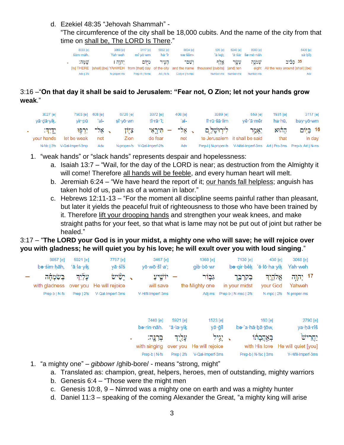#### d. Ezekiel 48:35 "Jehovah Shammah" -

"The circumference of the city shall be 18,000 cubits. And the name of the city from that time on shall be, The LORD Is There."

| 8033 [e]<br>šām māh. | 3068 [e]<br>Yah weh                                                                                 | 3117 [e]<br>$m\hat{i}$ ·vō·wm | 5892 [e]<br>hā·'îr | 8034 [e]<br>we∙šêm- | 505 [e]<br>'ā·leō: | 6240 [e]            | 8083 [e]<br>'ā·śār še·mō·nāh | 5439 [e]<br>sā∙bîb                    |
|----------------------|-----------------------------------------------------------------------------------------------------|-------------------------------|--------------------|---------------------|--------------------|---------------------|------------------------------|---------------------------------------|
| שמה:                 | י הונה ו                                                                                            | מיום                          | העיר               | ושם־                | אַלף               | עַשַר               | שמנה                         | 35 סביב                               |
|                      | [Is] THERE [shall] [be] YAHWEH from [that] day of the city and the name thousand [cubits] [and] ten |                               |                    |                     |                    |                     |                              | eight All the way around [shall] [be] |
| Adv   3fs            | N-proper-ms                                                                                         | Prep-m   N-ms                 | Art I N-fs         | Conj-w   N-msc      |                    | Number-ms Number-ms | Number-ms                    | Adv                                   |

# 3:16 –"**On that day it shall be said to Jerusalem: "Fear not, O Zion; let not your hands grow weak**."

| 3027 [e]<br>yā·dā·yik. | 7503 [e] 408 [e]<br>vir∙pū   | 'al-            | 6726 [e]<br>sî∙vō∙wn | 3372 [e]<br>tî•rā•'î:        | $408$ [e]<br>'al- | 3389 [e]<br>lî rū šā lim       | 559 [e]<br>vê 'ā mêr                                                     | 1931 [e]<br>ha·hū. | 3117 [e]<br>bay∙yō∙wm |
|------------------------|------------------------------|-----------------|----------------------|------------------------------|-------------------|--------------------------------|--------------------------------------------------------------------------|--------------------|-----------------------|
| <u>ידי</u> ה:          |                              | , אַל־ יִרְפּוּ | ציון                 |                              |                   | לירוּשָׁלֵם , אַל־ – תִּירֵאִי | יאמר:                                                                    | ההוא               | 16 בֵיּוֹם            |
| vour hands             | let be weak                  | not             | <b>Zion</b>          | do fear                      | not               |                                | to Jerusalem it shall be said                                            | that               | In day                |
|                        | N-fdc   2fs V-Qal-Imperf-3mp | Adv             |                      | N-proper-fs V-Qal-Imperf-2fs | Adv               |                                | Prep-I   N-proper-fs V-Nifal-Imperf-3ms Art   Pro-3ms Prep-b, Art   N-ms |                    |                       |

1. "weak hands" or "slack hands" represents despair and hopelessness:

- a. Isaiah 13:7 "Wail, for the day of the LORD is near; as destruction from the Almighty it will come! Therefore all hands will be feeble, and every human heart will melt.
- b. Jeremiah 6:24 "We have heard the report of it; our hands fall helpless; anguish has taken hold of us, pain as of a woman in labor."
- c. Hebrews 12:11-13 "For the moment all discipline seems painful rather than pleasant, but later it yields the peaceful fruit of righteousness to those who have been trained by it. Therefore lift your drooping hands and strengthen your weak knees, and make straight paths for your feet, so that what is lame may not be put out of joint but rather be healed."

#### 3:17 – "**The LORD your God is in your midst, a mighty one who will save; he will rejoice over you with gladness; he will quiet you by his love; he will exult over you with loud singing**."

| 3068 [e]<br>Yah·weh                                         | 430 [e]<br>be gir bêk 'ĕ lō ha yik | 7130 [e]                     |        | 1368 [e]<br>$qib \cdot b\bar{o} \cdot wr$ |                                 | 3467 [e]<br>yō·wō·šî·a';                 |   | 7797 [e]<br>yā·śîś                             | 5921 [e]<br>ʻā∙la∙yik | 8057 [e]<br>bə·śim·hāh, |
|-------------------------------------------------------------|------------------------------------|------------------------------|--------|-------------------------------------------|---------------------------------|------------------------------------------|---|------------------------------------------------|-----------------------|-------------------------|
| 17 יְהָוֶה<br>Yahweh                                        | אַלֹהֱיִד<br>your God              | בְּקִרְבֵּך<br>in your midst |        | גִּבּוֹר<br>the Mighty one                |                                 | יוֹשֵׁיעַ<br>will save                   |   | ישיש<br>with gladness over you He will rejoice | עליד                  | בשמחה                   |
| N-proper-ms                                                 | N-mpc   2fs                        | Prep-b   N-msc   2fs         |        | Adj-ms                                    |                                 | V-Hifil-Imperf-3ms                       |   | V-Qal-Imperf-3ms                               | Prep   2fs            | Prep-b   N-fs           |
| 2790 [e]                                                    | $160$ [e]                          |                              |        | 1523 [e]                                  | 5921 [e]                        | 7440 [e]                                 |   |                                                |                       |                         |
| ya·hă·rîš<br>יַחֲרִישׁ<br>with His love He will quiet [you] | בְּאֲהֲבָתוֹ                       | bə·'a·hă·bā·tōw.             | יְגְיל | yā∙ğîl<br>He will rejoice                 | ʻā·la∙yik<br>עַליִך<br>over you | bə·rin·nāh.<br>בִּרְנֵה:<br>with singing | ٠ |                                                |                       |                         |

- 1. "a mighty one" *gibbowr* /ghib-bore/ means "strong, might"
	- a. Translated as: champion, great, helpers, heroes, men of outstanding, mighty warriors

Prep-b | N-fs Prep | 2fs V-Qal-Imperf-3ms

Prep-b | N-fsc | 3ms

V-Hifil-Imperf-3ms

- b. Genesis 6:4 "Those were the might men
- c. Genesis 10:8, 9 Nimrod was a mighty one on earth and was a mighty hunter
- d. Daniel 11:3 speaking of the coming Alexander the Great, "a mighty king will arise